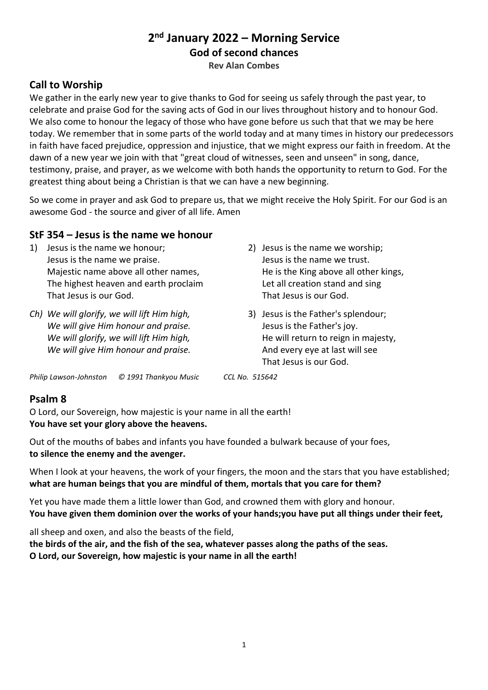# **2 nd January 2022 – Morning Service God of second chances**

**Rev Alan Combes**

# **Call to Worship**

We gather in the early new year to give thanks to God for seeing us safely through the past year, to celebrate and praise God for the saving acts of God in our lives throughout history and to honour God. We also come to honour the legacy of those who have gone before us such that that we may be here today. We remember that in some parts of the world today and at many times in history our predecessors in faith have faced prejudice, oppression and injustice, that we might express our faith in freedom. At the dawn of a new year we join with that "great cloud of witnesses, seen and unseen" in song, dance, testimony, praise, and prayer, as we welcome with both hands the opportunity to return to God. For the greatest thing about being a Christian is that we can have a new beginning.

So we come in prayer and ask God to prepare us, that we might receive the Holy Spirit. For our God is an awesome God - the source and giver of all life. Amen

#### **StF 354 – Jesus is the name we honour**

- 1) Jesus is the name we honour; Jesus is the name we praise. Majestic name above all other names, The highest heaven and earth proclaim That Jesus is our God.
- *Ch) We will glorify, we will lift Him high, We will give Him honour and praise. We will glorify, we will lift Him high, We will give Him honour and praise.*
- 2) Jesus is the name we worship; Jesus is the name we trust. He is the King above all other kings, Let all creation stand and sing That Jesus is our God.
- 3) Jesus is the Father's splendour; Jesus is the Father's joy. He will return to reign in majesty, And every eye at last will see That Jesus is our God.

*Philip Lawson-Johnston © 1991 Thankyou Music CCL No. 515642*

## **Psalm 8**

O Lord, our Sovereign, how majestic is your name in all the earth! **You have set your glory above the heavens.**

Out of the mouths of babes and infants you have founded a bulwark because of your foes, **to silence the enemy and the avenger.**

When I look at your heavens, the work of your fingers, the moon and the stars that you have established; **what are human beings that you are mindful of them, mortals that you care for them?**

Yet you have made them a little lower than God, and crowned them with glory and honour. **You have given them dominion over the works of your hands;you have put all things under their feet,**

all sheep and oxen, and also the beasts of the field, **the birds of the air, and the fish of the sea, whatever passes along the paths of the seas. O Lord, our Sovereign, how majestic is your name in all the earth!**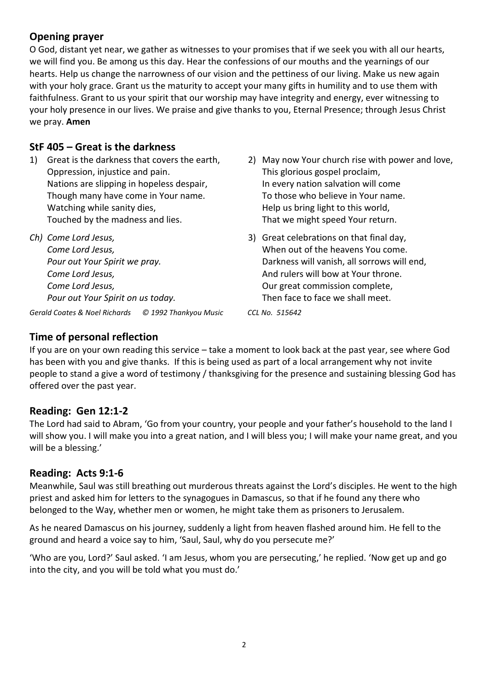# **Opening prayer**

O God, distant yet near, we gather as witnesses to your promises that if we seek you with all our hearts, we will find you. Be among us this day. Hear the confessions of our mouths and the yearnings of our hearts. Help us change the narrowness of our vision and the pettiness of our living. Make us new again with your holy grace. Grant us the maturity to accept your many gifts in humility and to use them with faithfulness. Grant to us your spirit that our worship may have integrity and energy, ever witnessing to your holy presence in our lives. We praise and give thanks to you, Eternal Presence; through Jesus Christ we pray. **Amen**

# **StF 405 – Great is the darkness**

- 1) Great is the darkness that covers the earth, Oppression, injustice and pain. Nations are slipping in hopeless despair, Though many have come in Your name. Watching while sanity dies, Touched by the madness and lies.
- *Ch) Come Lord Jesus, Come Lord Jesus, Pour out Your Spirit we pray. Come Lord Jesus, Come Lord Jesus, Pour out Your Spirit on us today. Gerald Coates & Noel Richards © 1992 Thankyou Music CCL No. 515642*
- 2) May now Your church rise with power and love, This glorious gospel proclaim, In every nation salvation will come To those who believe in Your name. Help us bring light to this world, That we might speed Your return.
- 3) Great celebrations on that final day, When out of the heavens You come. Darkness will vanish, all sorrows will end, And rulers will bow at Your throne. Our great commission complete, Then face to face we shall meet.

# **Time of personal reflection**

If you are on your own reading this service – take a moment to look back at the past year, see where God has been with you and give thanks. If this is being used as part of a local arrangement why not invite people to stand a give a word of testimony / thanksgiving for the presence and sustaining blessing God has offered over the past year.

# **Reading: Gen 12:1-2**

The Lord had said to Abram, 'Go from your country, your people and your father's household to the land I will show you. I will make you into a great nation, and I will bless you; I will make your name great, and you will be a blessing.'

# **Reading: Acts 9:1-6**

Meanwhile, Saul was still breathing out murderous threats against the Lord's disciples. He went to the high priest and asked him for letters to the synagogues in Damascus, so that if he found any there who belonged to the Way, whether men or women, he might take them as prisoners to Jerusalem.

As he neared Damascus on his journey, suddenly a light from heaven flashed around him. He fell to the ground and heard a voice say to him, 'Saul, Saul, why do you persecute me?'

'Who are you, Lord?' Saul asked. 'I am Jesus, whom you are persecuting,' he replied. 'Now get up and go into the city, and you will be told what you must do.'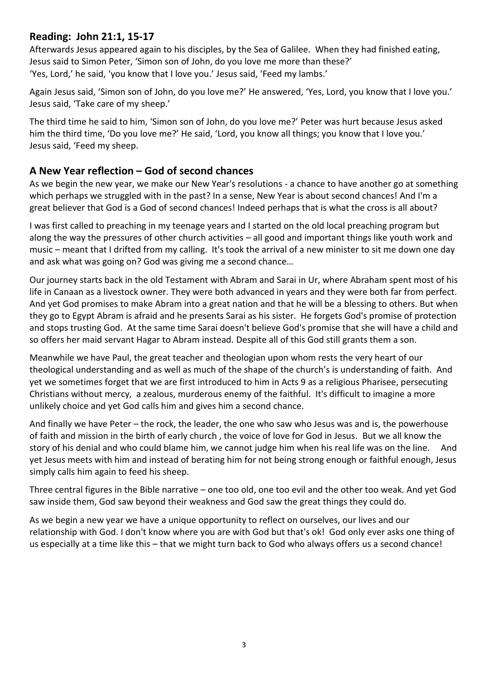#### **Reading: John 21:1, 15-17**

Afterwards Jesus appeared again to his disciples, by the Sea of Galilee. When they had finished eating, Jesus said to Simon Peter, 'Simon son of John, do you love me more than these?' 'Yes, Lord,' he said, 'you know that I love you.' Jesus said, 'Feed my lambs.'

Again Jesus said, 'Simon son of John, do you love me?' He answered, 'Yes, Lord, you know that I love you.' Jesus said, 'Take care of my sheep.'

The third time he said to him, 'Simon son of John, do you love me?' Peter was hurt because Jesus asked him the third time, 'Do you love me?' He said, 'Lord, you know all things; you know that I love you.' Jesus said, 'Feed my sheep.

#### **A New Year reflection – God of second chances**

As we begin the new year, we make our New Year's resolutions - a chance to have another go at something which perhaps we struggled with in the past? In a sense, New Year is about second chances! And I'm a great believer that God is a God of second chances! Indeed perhaps that is what the cross is all about?

I was first called to preaching in my teenage years and I started on the old local preaching program but along the way the pressures of other church activities – all good and important things like youth work and music – meant that I drifted from my calling. It's took the arrival of a new minister to sit me down one day and ask what was going on? God was giving me a second chance…

Our journey starts back in the old Testament with Abram and Sarai in Ur, where Abraham spent most of his life in Canaan as a livestock owner. They were both advanced in years and they were both far from perfect. And yet God promises to make Abram into a great nation and that he will be a blessing to others. But when they go to Egypt Abram is afraid and he presents Sarai as his sister. He forgets God's promise of protection and stops trusting God. At the same time Sarai doesn't believe God's promise that she will have a child and so offers her maid servant Hagar to Abram instead. Despite all of this God still grants them a son.

Meanwhile we have Paul, the great teacher and theologian upon whom rests the very heart of our theological understanding and as well as much of the shape of the church's is understanding of faith. And yet we sometimes forget that we are first introduced to him in Acts 9 as a religious Pharisee, persecuting Christians without mercy, a zealous, murderous enemy of the faithful. It's difficult to imagine a more unlikely choice and yet God calls him and gives him a second chance.

And finally we have Peter – the rock, the leader, the one who saw who Jesus was and is, the powerhouse of faith and mission in the birth of early church , the voice of love for God in Jesus. But we all know the story of his denial and who could blame him, we cannot judge him when his real life was on the line. And yet Jesus meets with him and instead of berating him for not being strong enough or faithful enough, Jesus simply calls him again to feed his sheep.

Three central figures in the Bible narrative – one too old, one too evil and the other too weak. And yet God saw inside them, God saw beyond their weakness and God saw the great things they could do.

As we begin a new year we have a unique opportunity to reflect on ourselves, our lives and our relationship with God. I don't know where you are with God but that's ok! God only ever asks one thing of us especially at a time like this – that we might turn back to God who always offers us a second chance!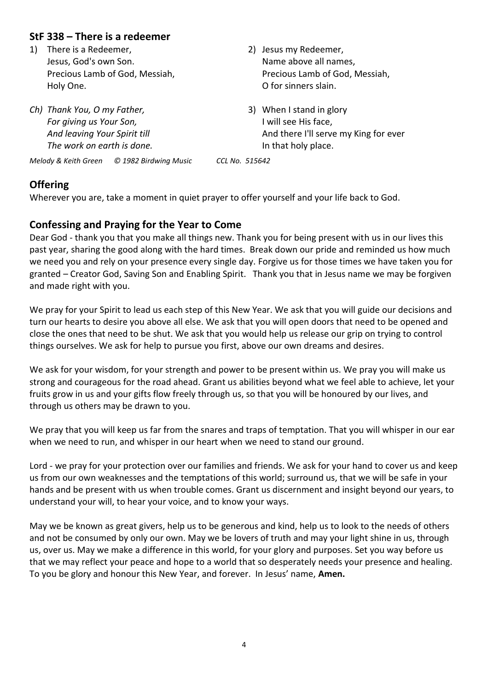#### **StF 338 – There is a redeemer**

- 1) There is a Redeemer, Jesus, God's own Son. Precious Lamb of God, Messiah, Holy One.
- *Ch) Thank You, O my Father, For giving us Your Son, And leaving Your Spirit till The work on earth is done.*

*Melody & Keith Green © 1982 Birdwing Music CCL No. 515642*

- 2) Jesus my Redeemer, Name above all names, Precious Lamb of God, Messiah, O for sinners slain.
- 3) When I stand in glory I will see His face, And there I'll serve my King for ever In that holy place.

#### **Offering**

Wherever you are, take a moment in quiet prayer to offer yourself and your life back to God.

#### **Confessing and Praying for the Year to Come**

Dear God - thank you that you make all things new. Thank you for being present with us in our lives this past year, sharing the good along with the hard times. Break down our pride and reminded us how much we need you and rely on your presence every single day. Forgive us for those times we have taken you for granted – Creator God, Saving Son and Enabling Spirit. Thank you that in Jesus name we may be forgiven and made right with you.

We pray for your Spirit to lead us each step of this New Year. We ask that you will guide our decisions and turn our hearts to desire you above all else. We ask that you will open doors that need to be opened and close the ones that need to be shut. We ask that you would help us release our grip on trying to control things ourselves. We ask for help to pursue you first, above our own dreams and desires.

We ask for your wisdom, for your strength and power to be present within us. We pray you will make us strong and courageous for the road ahead. Grant us abilities beyond what we feel able to achieve, let your fruits grow in us and your gifts flow freely through us, so that you will be honoured by our lives, and through us others may be drawn to you.

We pray that you will keep us far from the snares and traps of temptation. That you will whisper in our ear when we need to run, and whisper in our heart when we need to stand our ground.

Lord - we pray for your protection over our families and friends. We ask for your hand to cover us and keep us from our own weaknesses and the temptations of this world; surround us, that we will be safe in your hands and be present with us when trouble comes. Grant us discernment and insight beyond our years, to understand your will, to hear your voice, and to know your ways.

May we be known as great givers, help us to be generous and kind, help us to look to the needs of others and not be consumed by only our own. May we be lovers of truth and may your light shine in us, through us, over us. May we make a difference in this world, for your glory and purposes. Set you way before us that we may reflect your peace and hope to a world that so desperately needs your presence and healing. To you be glory and honour this New Year, and forever. In Jesus' name, **Amen.**